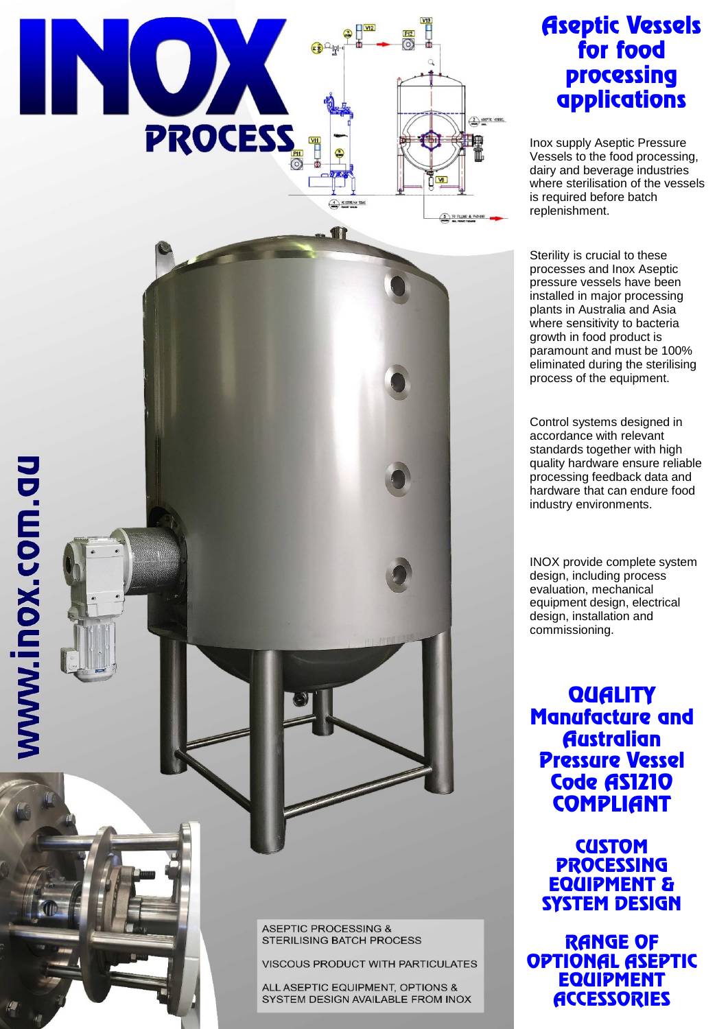

www.inox.com.gu

# Aseptic Vessels for food processing applications

Inox supply Aseptic Pressure Vessels to the food processing, dairy and beverage industries where sterilisation of the vessels is required before batch replenishment.

Sterility is crucial to these processes and Inox Aseptic pressure vessels have been installed in major processing plants in Australia and Asia where sensitivity to bacteria growth in food product is paramount and must be 100% eliminated during the sterilising process of the equipment.

Control systems designed in accordance with relevant standards together with high quality hardware ensure reliable processing feedback data and hardware that can endure food industry environments.

INOX provide complete system design, including process evaluation, mechanical equipment design, electrical design, installation and commissioning.

**QUALITY** Manufacture and **Australian** Pressure Vessel Code AS1210 **COMPLIANT** 

**CUSTOM PROCESSING** EQUIPMENT & SYSTEM DESIGN

RANGE OF OPTIONAL ASEPTIC EQUIPMENT **ACCESSORIES** 

**ASEPTIC PROCESSING &** STERILISING BATCH PROCESS

VISCOUS PRODUCT WITH PARTICULATES

ALL ASEPTIC EQUIPMENT, OPTIONS & SYSTEM DESIGN AVAILABLE FROM INOX